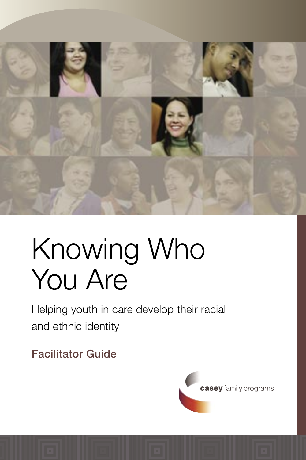

# Knowing Who You Are

Helping youth in care develop their racial and ethnic identity

Facilitator Guide

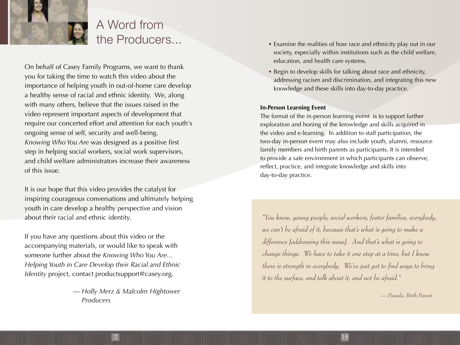

## A Word from the Producers...

On behalf of Casey Family Programs, we want to thank you for taking the time to watch this video about the importance of helping youth in out-of-home care develop a healthy sense of racial and ethnic identity. We, along with many others, believe that the issues raised in the video represent important aspects of development that require our concerted effort and attention for each youth's ongoing sense of self, security and well-being. *Knowing Who You Are* was designed as a positive first step in helping social workers, social work supervisors, and child welfare administrators increase their awareness of this issue.

It is our hope that this video provides the catalyst for inspiring courageous conversations and ultimately helping youth in care develop a healthy perspective and vision about their racial and ethnic identity.

If you have any questions about this video or the accompanying materials, or would like to speak with someone further about the *Knowing Who You Are... Helping Youth in Care Develop their Racial and Ethnic Identity* project, contact productsupport@casey.org.

> — *Holly Merz & Malcolm Hightower Producers*

> > $2$  15  $\pm$  15  $\pm$  16  $\pm$  16  $\pm$  16  $\pm$  16  $\pm$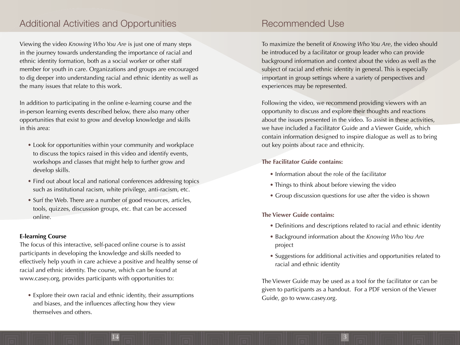## Recommended Use

To maximize the benefit of *Knowing Who You Are*, the video should be introduced by a facilitator or group leader who can provide background information and context about the video as well as the subject of racial and ethnic identity in general. This is especially important in group settings where a variety of perspectives and experiences may be represented.

Following the video, we recommend providing viewers with an opportunity to discuss and explore their thoughts and reactions about the issues presented in the video. To assist in these activities, we have included a Facilitator Guide and a Viewer Guide, which contain information designed to inspire dialogue as well as to bring out key points about race and ethnicity.

#### **The Facilitator Guide contains:**

- Information about the role of the facilitator
- Things to think about before viewing the video
- Group discussion questions for use after the video is shown

#### **The Viewer Guide contains:**

14 3

- Definitions and descriptions related to racial and ethnic identity
- Background information about the *Knowing Who You Are* project
- Suggestions for additional activities and opportunities related to racial and ethnic identity

The Viewer Guide may be used as a tool for the facilitator or can be given to participants as a handout. For a PDF version of the Viewer Guide, go to www.casey.org.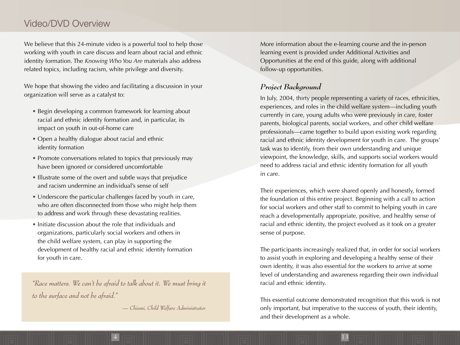## Video/DVD Overview

We believe that this 24-minute video is a powerful tool to help those working with youth in care discuss and learn about racial and ethnic identity formation. The *Knowing Who You Are* materials also address related topics, including racism, white privilege and diversity.

We hope that showing the video and facilitating a discussion in your organization will serve as a catalyst to:

- Begin developing a common framework for learning about racial and ethnic identity formation and, in particular, its impact on youth in out-of-home care
- Open a healthy dialogue about racial and ethnic identity formation
- Promote conversations related to topics that previously may have been ignored or considered uncomfortable
- Illustrate some of the overt and subtle ways that prejudice and racism undermine an individual's sense of self
- Underscore the particular challenges faced by youth in care, who are often disconnected from those who might help them to address and work through these devastating realities.
- Initiate discussion about the role that individuals and organizations, particularly social workers and others in the child welfare system, can play in supporting the development of healthy racial and ethnic identity formation for youth in care.

*"Race matters. We can't be afraid to talk about it. We must bring it to the surface and not be afraid."* 

 *— Chiemi, Child Welfare Administrator*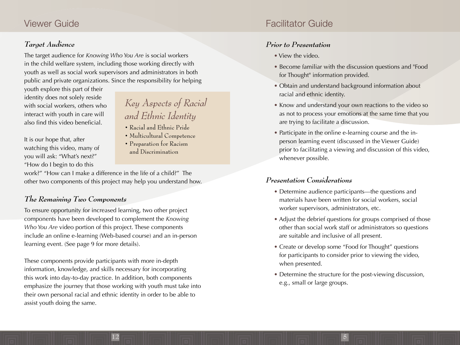## Facilitator Guide

#### *Prior to Presentation*

- View the video.
- Become familiar with the discussion questions and "Food for Thought" information provided.
- Obtain and understand background information about racial and ethnic identity.
- Know and understand your own reactions to the video so as not to process your emotions at the same time that you are trying to facilitate a discussion.
- Participate in the online e-learning course and the inperson learning event (discussed in the Viewer Guide) prior to facilitating a viewing and discussion of this video, whenever possible.

#### *Presentation Considerations*

- Determine audience participants—the questions and materials have been written for social workers, social worker supervisors, administrators, etc.
- Adjust the debrief questions for groups comprised of those other than social work staff or administrators so questions are suitable and inclusive of all present.
- Create or develop some "Food for Thought" questions for participants to consider prior to viewing the video, when presented.
- Determine the structure for the post-viewing discussion, e.g., small or large groups.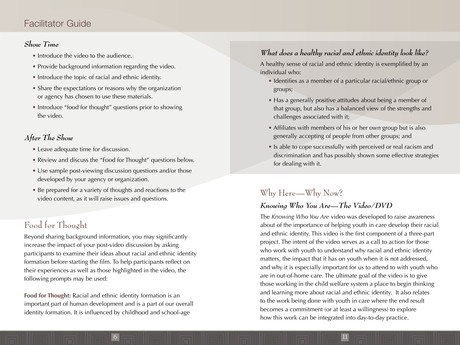## Facilitator Guide

#### *Show Time*

- Introduce the video to the audience.
- Provide background information regarding the video.
- Introduce the topic of racial and ethnic identity.
- Share the expectations or reasons why the organization or agency has chosen to use these materials.
- Introduce "food for thought" questions prior to showing the video.

### *After The Show*

- Leave adequate time for discussion.
- Review and discuss the "Food for Thought" questions below.
- Use sample post-viewing discussion questions and/or those developed by your agency or organization.
- Be prepared for a variety of thoughts and reactions to the video content, as it will raise issues and questions.

## Food for Thought

Beyond sharing background information, you may significantly increase the impact of your post-video discussion by asking participants to examine their ideas about racial and ethnic identity formation before starting the film. To help participants reflect on their experiences as well as those highlighted in the video, the following prompts may be used:

**Food for Thought:** Racial and ethnic identity formation is an important part of human development and is a part of our overall identity formation. It is influenced by childhood and school-age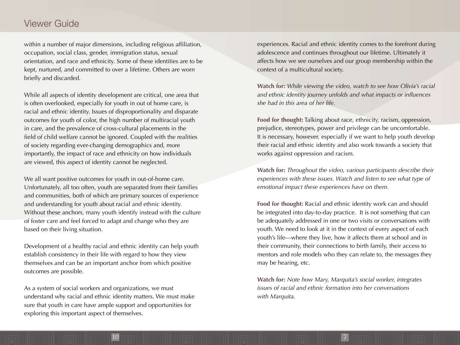experiences. Racial and ethnic identity comes to the forefront during adolescence and continues throughout our lifetime. Ultimately it affects how we see ourselves and our group membership within the context of a multicultural society.

**Watch for:** *While viewing the video, watch to see how Olivia's racial*  and ethnic identity journey unfolds and what impacts or influences *she had in this area of her life.*

**Food for thought:** Talking about race, ethnicity, racism, oppression, prejudice, stereotypes, power and privilege can be uncomfortable. It is necessary, however, especially if we want to help youth develop their racial and ethnic identity and also work towards a society that works against oppression and racism.

**Watch for:** *Throughout the video, various participants describe their experiences with these issues. Watch and listen to see what type of emotional impact these experiences have on them.*

**Food for thought:** Racial and ethnic identity work can and should be integrated into day-to-day practice. It is not something that can be adequately addressed in one or two visits or conversations with youth. We need to look at it in the context of every aspect of each youth's life—where they live, how it affects them at school and in their community, their connections to birth family, their access to mentors and role models who they can relate to, the messages they may be hearing, etc.

**Watch for:** *Note how Mary, Marquita's social worker, integrates issues of racial and ethnic formation into her conversations with Marquita.*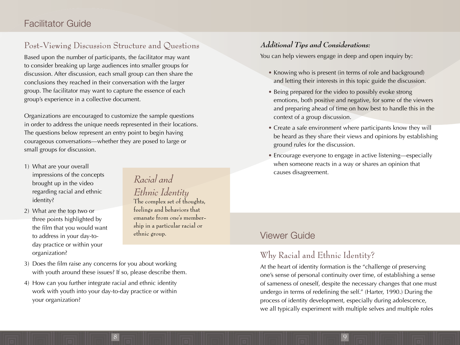## Facilitator Guide

## Post-Viewing Discussion Structure and Questions

Based upon the number of participants, the facilitator may want to consider breaking up large audiences into smaller groups for discussion. After discussion, each small group can then share the conclusions they reached in their conversation with the larger group. The facilitator may want to capture the essence of each group's experience in a collective document.

Organizations are encouraged to customize the sample questions in order to address the unique needs represented in their locations. The questions below represent an entry point to begin having courageous conversations—whether they are posed to large or small groups for discussion.

- 1) What are your overall impressions of the concepts brought up in the video regarding racial and ethnic identity?
- 2) What are the top two or three points highlighted by the film that you would want to address in your day-today practice or within your organization?

*Racial and Ethnic Identity* The complex set of thoughts, feelings and behaviors that emanate from one's membership in a particular racial or

ethnic group.

- 3) Does the film raise any concerns for you about working with youth around these issues? If so, please describe them.
- 4) How can you further integrate racial and ethnic identity work with youth into your day-to-day practice or within your organization?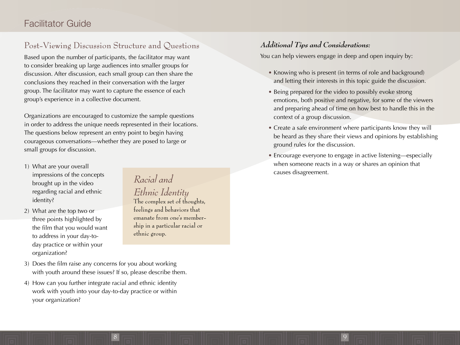#### *Additional Tips and Considerations:*

8 9

You can help viewers engage in deep and open inquiry by:

- Knowing who is present (in terms of role and background) and letting their interests in this topic guide the discussion.
- Being prepared for the video to possibly evoke strong emotions, both positive and negative, for some of the viewers and preparing ahead of time on how best to handle this in the context of a group discussion.
- Create a safe environment where participants know they will be heard as they share their views and opinions by establishing ground rules for the discussion.
- Encourage everyone to engage in active listening—especially when someone reacts in a way or shares an opinion that causes disagreement.